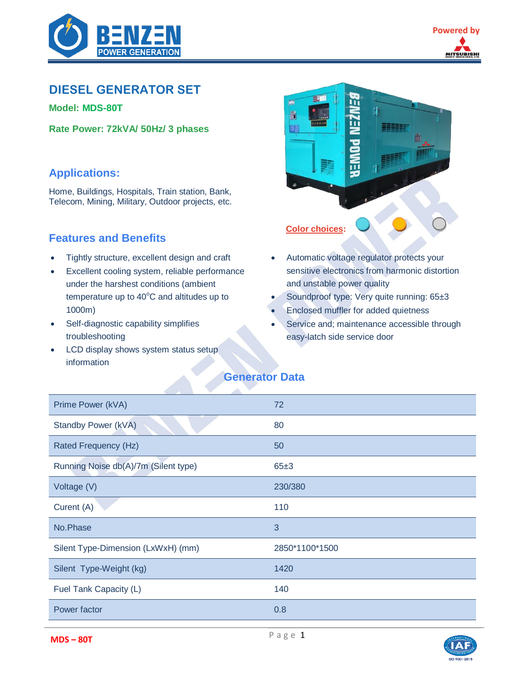

# **DIESEL GENERATOR SET**

**Model: [MDS-80T](https://tongkhomayphatdien.com/may-phat-dien/may-phat-dien-mitsubishi-80kva/)**

**Rate Power: 72kVA/ 50Hz/ 3 phases**

## **Applications:**

Home, Buildings, Hospitals, Train station, Bank, Telecom, Mining, Military, Outdoor projects, etc.

## **Features and Benefits**

- Tightly structure, excellent design and craft
- Excellent cooling system, reliable performance under the harshest conditions (ambient temperature up to  $40^{\circ}$ C and altitudes up to 1000m)
- Self-diagnostic capability simplifies troubleshooting
- LCD display shows system status setup information



- Automatic voltage regulator protects your sensitive electronics from harmonic distortion and unstable power quality
- Soundproof type: Very quite running: 65±3
- Enclosed muffler for added quietness
- Service and; maintenance accessible through easy-latch side service door

# **Generator Data**

| Prime Power (kVA)                    | 72             |
|--------------------------------------|----------------|
| Standby Power (kVA)                  | 80             |
| Rated Frequency (Hz)                 | 50             |
| Running Noise db(A)/7m (Silent type) | 65±3           |
| Voltage (V)                          | 230/380        |
| Curent (A)                           | 110            |
| No.Phase                             | 3              |
| Silent Type-Dimension (LxWxH) (mm)   | 2850*1100*1500 |
| Silent Type-Weight (kg)              | 1420           |
| Fuel Tank Capacity (L)               | 140            |
| Power factor                         | 0.8            |

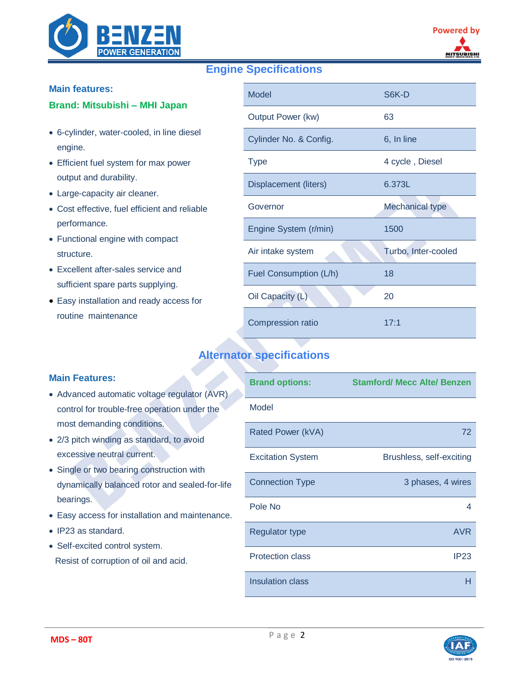

# **Engine Specifications**

### **Main features:**

### **Brand: [Mitsubishi](https://tongkhomayphatdien.com/danh-muc/may-phat-dien-mitsubishi/) – MHI Japan**

- 6-cylinder, water-cooled, in line diesel engine.
- Efficient fuel system for max power output and durability.
- Large-capacity air cleaner.
- Cost effective, fuel efficient and reliable performance.
- Functional engine with compact structure.
- Excellent after-sales service and sufficient spare parts supplying.
- Easy installation and ready access for routine maintenance

| <b>Model</b>             | S6K-D                  |
|--------------------------|------------------------|
| Output Power (kw)        | 63                     |
| Cylinder No. & Config.   | 6, In line             |
| <b>Type</b>              | 4 cycle, Diesel        |
| Displacement (liters)    | 6.373L                 |
| Governor                 | <b>Mechanical type</b> |
| Engine System (r/min)    | 1500                   |
| Air intake system        | Turbo, Inter-cooled    |
| Fuel Consumption (L/h)   | 18                     |
| Oil Capacity (L)         | 20                     |
| <b>Compression ratio</b> | 17:1                   |

## **Alternator specifications**

## **Main Features:**

- Advanced automatic voltage regulator (AVR) control for trouble-free operation under the most demanding conditions.
- 2/3 pitch winding as standard, to avoid excessive neutral current.
- Single or two bearing construction with dynamically balanced rotor and sealed-for-life bearings.
- Easy access for installation and maintenance.
- IP23 as standard.
- Self-excited control system. Resist of corruption of oil and acid.

| <b>Brand options:</b>    | <b>Stamford/ Mecc Alte/ Benzen</b> |
|--------------------------|------------------------------------|
| Model                    |                                    |
| Rated Power (kVA)        | 72                                 |
| <b>Excitation System</b> | Brushless, self-exciting           |
| <b>Connection Type</b>   | 3 phases, 4 wires                  |
| Pole No                  | 4                                  |
| <b>Regulator type</b>    | <b>AVR</b>                         |
| <b>Protection class</b>  | IP <sub>23</sub>                   |
| <b>Insulation class</b>  | н                                  |